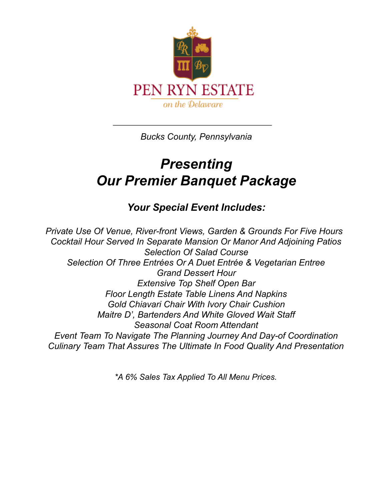

*Bucks County, Pennsylvania*

# *Presenting Our Premier Banquet Package*

## *Your Special Event Includes:*

*Private Use Of Venue, River-front Views, Garden & Grounds For Five Hours Cocktail Hour Served In Separate Mansion Or Manor And Adjoining Patios Selection Of Salad Course Selection Of Three Entrées Or A Duet Entrée & Vegetarian Entree Grand Dessert Hour Extensive Top Shelf Open Bar Floor Length Estate Table Linens And Napkins Gold Chiavari Chair With Ivory Chair Cushion Maitre D', Bartenders And White Gloved Wait Staff Seasonal Coat Room Attendant Event Team To Navigate The Planning Journey And Day-of Coordination Culinary Team That Assures The Ultimate In Food Quality And Presentation*

*\*A 6% Sales Tax Applied To All Menu Prices.*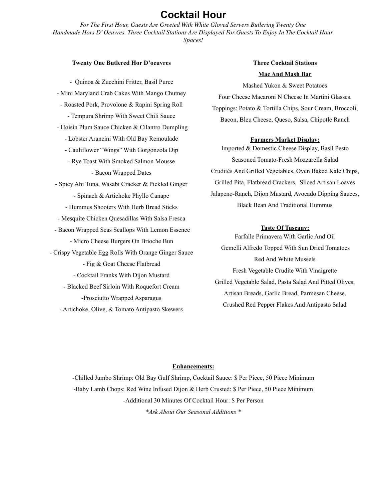### **Cocktail Hour**

*For The First Hour, Guests Are Greeted With White Gloved Servers Butlering Twenty One Handmade Hors D'Oeuvres. Three Cocktail Stations Are Displayed For Guests To Enjoy In The Cocktail Hour Spaces!*

#### **Twenty One Butlered Hor D'oeuvres**

- Quinoa & Zucchini Fritter, Basil Puree - Mini Maryland Crab Cakes With Mango Chutney - Roasted Pork, Provolone & Rapini Spring Roll - Tempura Shrimp With Sweet Chili Sauce - Hoisin Plum Sauce Chicken & Cilantro Dumpling - Lobster Arancini With Old Bay Remoulade - Cauliflower "Wings" With Gorgonzola Dip - Rye Toast With Smoked Salmon Mousse - Bacon Wrapped Dates - Spicy Ahi Tuna, Wasabi Cracker & Pickled Ginger - Spinach & Artichoke Phyllo Canape - Hummus Shooters With Herb Bread Sticks - Mesquite Chicken Quesadillas With Salsa Fresca - Bacon Wrapped Seas Scallops With Lemon Essence - Micro Cheese Burgers On Brioche Bun - Crispy Vegetable Egg Rolls With Orange Ginger Sauce - Fig & Goat Cheese Flatbread - Cocktail Franks With Dijon Mustard - Blacked Beef Sirloin With Roquefort Cream -Prosciutto Wrapped Asparagus - Artichoke, Olive, & Tomato Antipasto Skewers

### **Three Cocktail Stations Mac And Mash Bar**

Mashed Yukon & Sweet Potatoes Four Cheese Macaroni N Cheese In Martini Glasses. Toppings: Potato & Tortilla Chips, Sour Cream, Broccoli, Bacon, Bleu Cheese, Queso, Salsa, Chipotle Ranch

#### **Farmers Market Display:**

Imported & Domestic Cheese Display, Basil Pesto Seasoned Tomato-Fresh Mozzarella Salad Crudités And Grilled Vegetables, Oven Baked Kale Chips, Grilled Pita, Flatbread Crackers, Sliced Artisan Loaves Jalapeno-Ranch, Dijon Mustard, Avocado Dipping Sauces, Black Bean And Traditional Hummus

#### **Taste Of Tuscany:**

Farfalle Primavera With Garlic And Oil Gemelli Alfredo Topped With Sun Dried Tomatoes Red And White Mussels Fresh Vegetable Crudite With Vinaigrette Grilled Vegetable Salad, Pasta Salad And Pitted Olives, Artisan Breads, Garlic Bread, Parmesan Cheese, Crushed Red Pepper Flakes And Antipasto Salad

#### **Enhancements:**

-Chilled Jumbo Shrimp: Old Bay Gulf Shrimp, Cocktail Sauce: \$ Per Piece, 50 Piece Minimum -Baby Lamb Chops: Red Wine Infused Dijon & Herb Crusted: \$ Per Piece, 50 Piece Minimum -Additional 30 Minutes Of Cocktail Hour: \$ Per Person *\*Ask About Our Seasonal Additions \**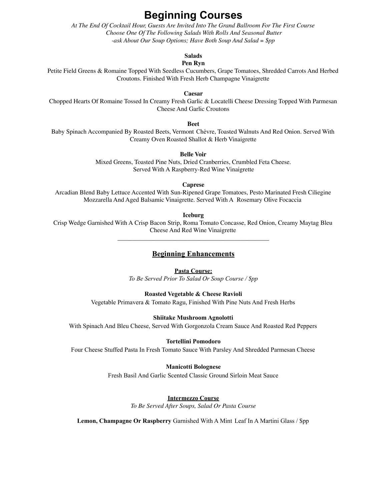## **Beginning Courses**

*At The End Of Cocktail Hour, Guests Are Invited Into The Grand Ballroom For The First Course Choose One Of The Following Salads With Rolls And Seasonal Butter -ask About Our Soup Options; Have Both Soup And Salad = \$pp*

**Salads**

#### **Pen Ryn**

Petite Field Greens & Romaine Topped With Seedless Cucumbers, Grape Tomatoes, Shredded Carrots And Herbed Croutons. Finished With Fresh Herb Champagne Vinaigrette

**Caesar**

Chopped Hearts Of Romaine Tossed In Creamy Fresh Garlic & Locatelli Cheese Dressing Topped With Parmesan Cheese And Garlic Croutons

**Beet**

Baby Spinach Accompanied By Roasted Beets, Vermont Chèvre, Toasted Walnuts And Red Onion. Served With Creamy Oven Roasted Shallot & Herb Vinaigrette

**Belle Voir**

Mixed Greens, Toasted Pine Nuts, Dried Cranberries, Crumbled Feta Cheese. Served With A Raspberry-Red Wine Vinaigrette

**Caprese**

Arcadian Blend Baby Lettuce Accented With Sun-Ripened Grape Tomatoes, Pesto Marinated Fresh Ciliegine Mozzarella And Aged Balsamic Vinaigrette. Served With A Rosemary Olive Focaccia

**Iceburg**

Crisp Wedge Garnished With A Crisp Bacon Strip, Roma Tomato Concasse, Red Onion, Creamy Maytag Bleu Cheese And Red Wine Vinaigrette \_\_\_\_\_\_\_\_\_\_\_\_\_\_\_\_\_\_\_\_\_\_\_\_\_\_\_\_\_\_\_\_\_\_\_\_\_\_\_\_\_\_\_\_\_\_\_\_

#### **Beginning Enhancements**

#### **Pasta Course:**

*To Be Served Prior To Salad Or Soup Course / \$pp*

#### **Roasted Vegetable & Cheese Ravioli**

Vegetable Primavera & Tomato Ragu, Finished With Pine Nuts And Fresh Herbs

#### **Shiitake Mushroom Agnolotti**

With Spinach And Bleu Cheese, Served With Gorgonzola Cream Sauce And Roasted Red Peppers

#### **Tortellini Pomodoro**

Four Cheese Stuffed Pasta In Fresh Tomato Sauce With Parsley And Shredded Parmesan Cheese

#### **Manicotti Bolognese**

Fresh Basil And Garlic Scented Classic Ground Sirloin Meat Sauce

#### **Intermezzo Course**

*To Be Served After Soups, Salad Or Pasta Course*

**Lemon, Champagne Or Raspberry** Garnished With A Mint Leaf In A Martini Glass / \$pp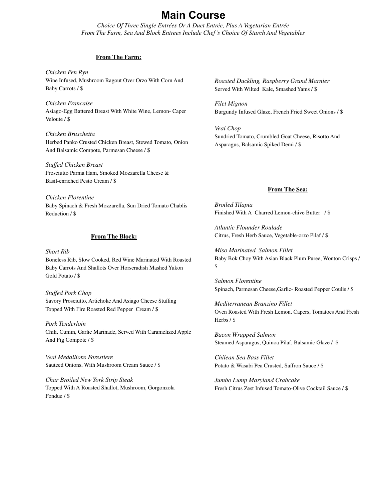## **Main Course**

*Choice Of Three Single Entrées Or A Duet Entrée, Plus A Vegetarian Entrée From The Farm, Sea And Block Entrees Include Chef's Choice Of Starch And Vegetables*

#### **From The Farm:**

*Chicken Pen Ryn* Wine Infused, Mushroom Ragout Over Orzo With Corn And Baby Carrots / \$

*Chicken Francaise* Asiago-Egg Battered Breast With White Wine, Lemon- Caper Veloute / \$

*Chicken Bruschetta* Herbed Panko Crusted Chicken Breast, Stewed Tomato, Onion And Balsamic Compote, Parmesan Cheese / \$

*Stuffed Chicken Breast* Prosciutto Parma Ham, Smoked Mozzarella Cheese & Basil-enriched Pesto Cream / \$

*Chicken Florentine* Baby Spinach & Fresh Mozzarella, Sun Dried Tomato Chablis Reduction / \$

#### **From The Block:**

*Short Rib* Boneless Rib, Slow Cooked, Red Wine Marinated With Roasted Baby Carrots And Shallots Over Horseradish Mashed Yukon Gold Potato / \$

#### *Stuffed Pork Chop* Savory Prosciutto, Artichoke And Asiago Cheese Stuffing Topped With Fire Roasted Red Pepper Cream / \$

*Pork Tenderloin* Chili, Cumin, Garlic Marinade, Served With Caramelized Apple And Fig Compote / \$

*Veal Medallions Forestiere* Sauteed Onions, With Mushroom Cream Sauce / \$

*Char Broiled New York Strip Steak* Topped With A Roasted Shallot, Mushroom, Gorgonzola Fondue / \$

*Roasted Duckling, Raspberry Grand Marnier* Served With Wilted Kale, Smashed Yams / \$

*Filet Mignon* Burgundy Infused Glaze, French Fried Sweet Onions / \$

*Veal Chop* Sundried Tomato, Crumbled Goat Cheese, Risotto And Asparagus, Balsamic Spiked Demi / \$

#### **From The Sea:**

*Broiled Tilapia* Finished With A Charred Lemon-chive Butter / \$

*Atlantic Flounder Roulade* Citrus, Fresh Herb Sauce, Vegetable-orzo Pilaf / \$

*Miso Marinated Salmon Fillet* Baby Bok Choy With Asian Black Plum Puree, Wonton Crisps / \$

*Salmon Florentine* Spinach, Parmesan Cheese,Garlic- Roasted Pepper Coulis / \$

*Mediterranean Branzino Fillet* Oven Roasted With Fresh Lemon, Capers, Tomatoes And Fresh Herbs / \$

*Bacon Wrapped Salmon* Steamed Asparagus, Quinoa Pilaf, Balsamic Glaze / \$

*Chilean Sea Bass Fillet* Potato & Wasabi Pea Crusted, Saffron Sauce / \$

*Jumbo Lump Maryland Crabcake* Fresh Citrus Zest Infused Tomato-Olive Cocktail Sauce / \$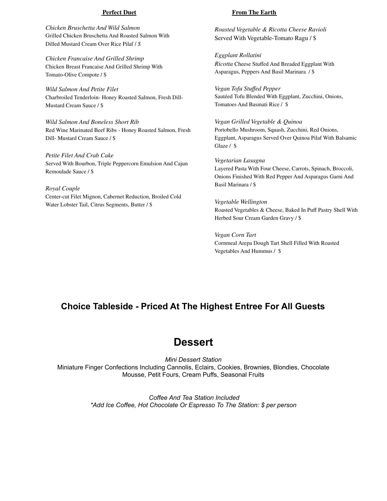#### **Perfect Duet**

*Chicken Bruschetta And Wild Salmon* Grilled Chicken Bruschetta And Roasted Salmon With Dilled Mustard Cream Over Rice Pilaf / *\$*

*Chicken Francaise And Grilled Shrimp* Chicken Breast Francaise And Grilled Shrimp With Tomato-Olive Compote / \$

*Wild Salmon And Petite Filet* Charbroiled Tenderloin- Honey Roasted Salmon, Fresh Dill-Mustard Cream Sauce / \$

*Wild Salmon And Boneless Short Rib* Red Wine Marinated Beef Ribs - Honey Roasted Salmon, Fresh Dill- Mustard Cream Sauce / \$

*Petite Filet And Crab Cake* Served With Bourbon, Triple Peppercorn Emulsion And Cajun Remoulade Sauce / \$

*Royal Couple* Center-cut Filet Mignon, Cabernet Reduction, Broiled Cold Water Lobster Tail, Citrus Segments, Butter / \$

#### **From The Earth**

*Roasted Vegetable & Ricotta Cheese Ravioli* Served With Vegetable-Tomato Ragu / \$

*Eggplant Rollatini Ricotta* Cheese Stuffed And Breaded Eggplant With Asparagus, Peppers And Basil Marinara / \$

*Vegan Tofu Stuffed Pepper* Sautéed Tofu Blended With Eggplant, Zucchini, Onions, Tomatoes And Basmati Rice / \$

*Vegan Grilled Vegetable & Quinoa* Portobello Mushroom, Squash, Zucchini, Red Onions, Eggplant, Asparagus Served Over Quinoa Pilaf With Balsamic Glaze / \$

*Vegetarian Lasagna* Layered Pasta With Four Cheese, Carrots, Spinach, Broccoli, Onions Finished With Red Pepper And Asparagus Garni And Basil Marinara / \$

*Vegetable Wellington* Roasted Vegetables & Cheese, Baked In Puff Pastry Shell With Herbed Sour Cream Garden Gravy / \$

*Vegan Corn Tart* Cornmeal Arepa Dough Tart Shell Filled With Roasted Vegetables And Hummus / \$

### **Choice Tableside - Priced At The Highest Entree For All Guests**

### **Dessert**

*Mini Dessert Station* Miniature Finger Confections Including Cannolis, Eclairs, Cookies, Brownies, Blondies, Chocolate Mousse, Petit Fours, Cream Puffs, Seasonal Fruits

> *Coffee And Tea Station Included \*Add Ice Coffee, Hot Chocolate Or Espresso To The Station: \$ per person*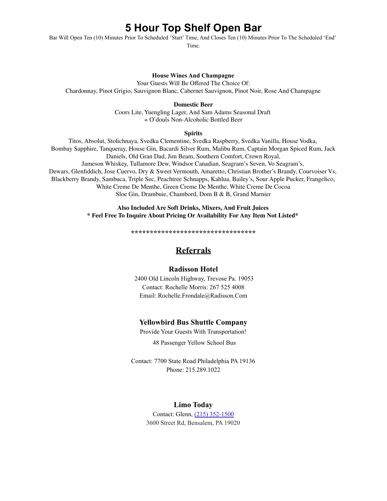## **5 Hour Top Shelf Open Bar**

Bar Will Open Ten (10) Minutes Prior To Scheduled 'Start' Time, And Closes Ten (10) Minutes Prior To The Scheduled 'End'

Time.

#### **House Wines And Champagne**

Your Guests Will Be Offered The Choice Of: Chardonnay, Pinot Grigio, Sauvignon Blanc, Cabernet Sauvignon, Pinot Noir, Rose And Champagne

**Domestic Beer**

Coors Lite, Yuengling Lager, And Sam Adams Seasonal Draft + O'douls Non-Alcoholic Bottled Beer

#### **Spirits**

Titos, Absolut, Stolichnaya, Svedka Clementine, Svedka Raspberry, Svedka Vanilla, House Vodka, Bombay Sapphire, Tanqueray, House Gin, Bacardi Silver Rum, Malibu Rum, Captain Morgan Spiced Rum, Jack Daniels, Old Gran Dad, Jim Beam, Southern Comfort, Crown Royal, Jameson Whiskey, Tullamore Dew, Windsor Canadian, Seagram's Seven, Vo Seagram's, Dewars, Glenfiddich, Jose Cuervo, Dry & Sweet Vermouth, Amaretto, Christian Brother's Brandy, Courvoiser Vs, Blackberry Brandy, Sambuca, Triple Sec, Peachtree Schnapps, Kahlua, Bailey's, Sour Apple Pucker, Frangelico, White Creme De Menthe, Green Creme De Menthe, White Creme De Cocoa Sloe Gin, Drambuie, Chambord, Dom B & B, Grand Marnier

> **Also Included Are Soft Drinks, Mixers, And Fruit Juices \* Feel Free To Inquire About Pricing Or Availability For Any Item Not Listed\***

> > **\*\*\*\*\*\*\*\*\*\*\*\*\*\*\*\*\*\*\*\*\*\*\*\*\*\*\*\*\*\*\*\*\***

### **Referrals**

#### **Radisson Hotel**

2400 Old Lincoln Highway, Trevose Pa. 19053 Contact: Rochelle Morris: 267 525 4008 Email: Rochelle.Frondale@Radisson.Com

### **Yellowbird Bus Shuttle Company**

Provide Your Guests With Transportation!

48 Passenger Yellow School Bus

Contact: 7700 State Road Philadelphia PA 19136 Phone: 215.289.1022

### **Limo Today**

Contact: Glenn, (215) [352-1500](https://www.google.com/search?q=limo+today&rlz=1C1CHBF_enUS814US814&oq=limo+today+&aqs=chrome..69i57j0l5.1906j0j7&sourceid=chrome&ie=UTF-8#) 3600 Street Rd, Bensalem, PA 19020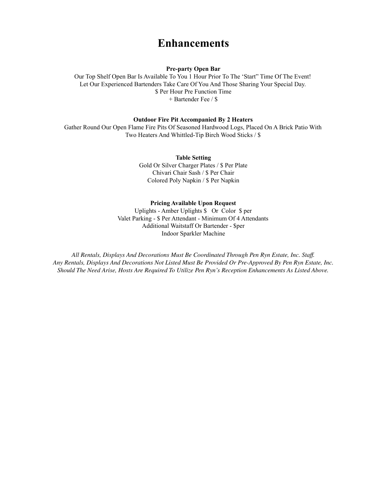## **Enhancements**

**Pre-party Open Bar**

Our Top Shelf Open Bar Is Available To You 1 Hour Prior To The 'Start" Time Of The Event! Let Our Experienced Bartenders Take Care Of You And Those Sharing Your Special Day. \$ Per Hour Pre Function Time + Bartender Fee / \$

#### **Outdoor Fire Pit Accompanied By 2 Heaters**

Gather Round Our Open Flame Fire Pits Of Seasoned Hardwood Logs, Placed On A Brick Patio With Two Heaters And Whittled-Tip Birch Wood Sticks / \$

> **Table Setting** Gold Or Silver Charger Plates / \$ Per Plate Chivari Chair Sash / \$ Per Chair Colored Poly Napkin / \$ Per Napkin

#### **Pricing Available Upon Request**

Uplights - Amber Uplights \$ Or Color \$ per Valet Parking - \$ Per Attendant - Minimum Of 4 Attendants Additional Waitstaff Or Bartender - \$per Indoor Sparkler Machine

*All Rentals, Displays And Decorations Must Be Coordinated Through Pen Ryn Estate, Inc. Staff. Any Rentals, Displays And Decorations Not Listed Must Be Provided Or Pre-Approved By Pen Ryn Estate, Inc. Should The Need Arise, Hosts Are Required To Utilize Pen Ryn's Reception Enhancements As Listed Above.*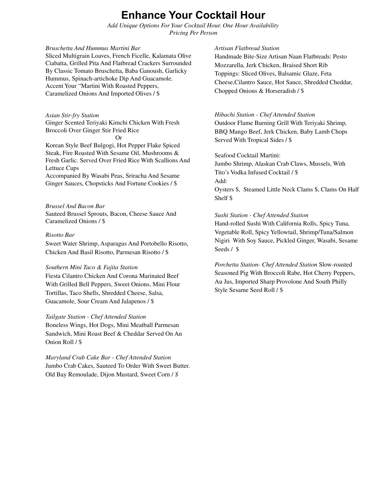## **Enhance Your Cocktail Hour**

*Add Unique Options For Your Cocktail Hour. One Hour Availability Pricing Per Person*

#### *Bruschetta And Hummus Martini Bar*

Sliced Multigrain Loaves, French Ficelle, Kalamata Olive Ciabatta, Grilled Pita And Flatbread Crackers Surrounded By Classic Tomato Bruschetta, Baba Ganoush, Garlicky Hummus, Spinach-artichoke Dip And Guacamole. Accent Your "Martini With Roasted Peppers, Caramelized Onions And Imported Olives / \$

#### *Asian Stir-fry Station* Ginger Scented Teriyaki Kimchi Chicken With Fresh Broccoli Over Ginger Stir Fried Rice Or

Korean Style Beef Bulgogi, Hot Pepper Flake Spiced Steak, Fire Roasted With Sesame Oil, Mushrooms & Fresh Garlic. Served Over Fried Rice With Scallions And Lettuce Cups Accompanied By Wasabi Peas, Sriracha And Sesame Ginger Sauces, Chopsticks And Fortune Cookies / \$

#### *Brussel And Bacon Bar*

Sauteed Brussel Sprouts, Bacon, Cheese Sauce And Caramelized Onions / \$

#### *Risotto Bar*

Sweet Water Shrimp, Asparagus And Portobello Risotto, Chicken And Basil Risotto, Parmesan Risotto / \$

#### *Southern Mini Taco & Fajita Station*

Fiesta Cilantro Chicken And Corona Marinated Beef With Grilled Bell Peppers, Sweet Onions, Mini Flour Tortillas, Taco Shells, Shredded Cheese, Salsa, Guacamole, Sour Cream And Jalapenos / \$

#### *Tailgate Station - Chef Attended Station*

Boneless Wings, Hot Dogs, Mini Meatball Parmesan Sandwich, Mini Roast Beef & Cheddar Served On An Onion Roll / \$

*Maryland Crab Cake Bar - Chef Attended Station* Jumbo Crab Cakes, Sauteed To Order With Sweet Butter. Old Bay Remoulade, Dijon Mustard, Sweet Corn / *\$*

#### *Artisan Flatbread Station*

Handmade Bite-Size Artisan Naan Flatbreads: Pesto Mozzarella, Jerk Chicken, Braised Short Rib Toppings: Sliced Olives, Balsamic Glaze, Feta Cheese,Cilantro Sauce, Hot Sauce, Shredded Cheddar, Chopped Onions & Horseradish / \$

#### *Hibachi Station - Chef Attended Station*

Outdoor Flame Burning Grill With Teriyaki Shrimp, BBQ Mango Beef, Jerk Chicken, Baby Lamb Chops Served With Tropical Sides / \$

#### Seafood Cocktail Martini:

Jumbo Shrimp, Alaskan Crab Claws, Mussels, With Tito's Vodka Infused Cocktail / \$ Add: Oysters \$, Steamed Little Neck Clams \$, Clams On Half Shelf \$

#### *Sushi Station - Chef Attended Station*

Hand-rolled Sushi With California Rolls, Spicy Tuna, Vegetable Roll, Spicy Yellowtail, Shrimp/Tuna/Salmon Nigiri With Soy Sauce, Pickled Ginger, Wasabi, Sesame Seeds / \$

*Porchetta Station- Chef Attended Station* Slow-roasted Seasoned Pig With Broccoli Rabe, Hot Cherry Peppers, Au Jus, Imported Sharp Provolone And South Philly Style Sesame Seed Roll / \$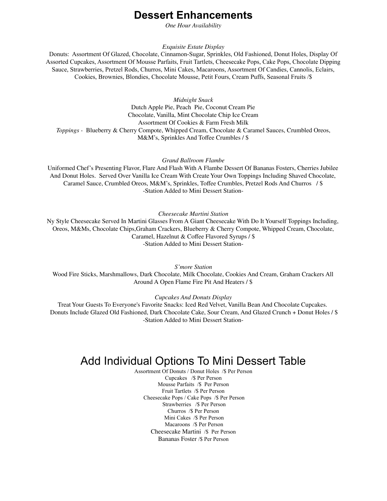### **Dessert Enhancements**

*One Hour Availability*

*Exquisite Estate Display*

Donuts: Assortment Of Glazed, Chocolate, Cinnamon-Sugar, Sprinkles, Old Fashioned, Donut Holes, Display Of Assorted Cupcakes, Assortment Of Mousse Parfaits, Fruit Tartlets, Cheesecake Pops, Cake Pops, Chocolate Dipping Sauce, Strawberries, Pretzel Rods, Churros, Mini Cakes, Macaroons, Assortment Of Candies, Cannolis, Eclairs, Cookies, Brownies, Blondies, Chocolate Mousse, Petit Fours, Cream Puffs, Seasonal Fruits /\$

*Midnight Snack*

Dutch Apple Pie, Peach Pie, Coconut Cream Pie Chocolate, Vanilla, Mint Chocolate Chip Ice Cream Assortment Of Cookies & Farm Fresh Milk *Toppings -* Blueberry & Cherry Compote, Whipped Cream, Chocolate & Caramel Sauces, Crumbled Oreos, M&M's, Sprinkles And Toffee Crumbles / \$

*Grand Ballroom Flambe*

Uniformed Chef's Presenting Flavor, Flare And Flash With A Flambe Dessert Of Bananas Fosters, Cherries Jubilee And Donut Holes. Served Over Vanilla Ice Cream With Create Your Own Toppings Including Shaved Chocolate, Caramel Sauce, Crumbled Oreos, M&M's, Sprinkles, Toffee Crumbles, Pretzel Rods And Churros / \$ -Station Added to Mini Dessert Station-

*Cheesecake Martini Station*

Ny Style Cheesecake Served In Martini Glasses From A Giant Cheesecake With Do It Yourself Toppings Including, Oreos, M&Ms, Chocolate Chips,Graham Crackers, Blueberry & Cherry Compote, Whipped Cream, Chocolate, Caramel, Hazelnut & Coffee Flavored Syrups / \$ -Station Added to Mini Dessert Station-

*S'more Station* Wood Fire Sticks, Marshmallows, Dark Chocolate, Milk Chocolate, Cookies And Cream, Graham Crackers All Around A Open Flame Fire Pit And Heaters / \$

*Cupcakes And Donuts Display*

Treat Your Guests To Everyone's Favorite Snacks: Iced Red Velvet, Vanilla Bean And Chocolate Cupcakes. Donuts Include Glazed Old Fashioned, Dark Chocolate Cake, Sour Cream, And Glazed Crunch + Donut Holes / \$ -Station Added to Mini Dessert Station-

## Add Individual Options To Mini Dessert Table

Assortment Of Donuts / Donut Holes /\$ Per Person Cupcakes /\$ Per Person Mousse Parfaits /\$ Per Person Fruit Tartlets /\$ Per Person Cheesecake Pops / Cake Pops /\$ Per Person Strawberries /\$ Per Person Churros /\$ Per Person Mini Cakes /\$ Per Person Macaroons /\$ Per Person Cheesecake Martini /\$ Per Person Bananas Foster /\$ Per Person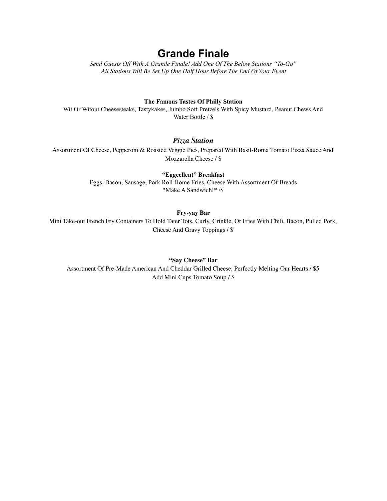## **Grande Finale**

*Send Guests Of With A Grande Finale! Add One Of The Below Stations "To-Go" All Stations Will Be Set Up One Half Hour Before The End Of Your Event*

#### **The Famous Tastes Of Philly Station**

Wit Or Witout Cheesesteaks, Tastykakes, Jumbo Soft Pretzels With Spicy Mustard, Peanut Chews And Water Bottle / \$

#### *Pizza Station*

Assortment Of Cheese, Pepperoni & Roasted Veggie Pies, Prepared With Basil-Roma Tomato Pizza Sauce And Mozzarella Cheese / \$

> **"Eggcellent" Breakfast** Eggs, Bacon, Sausage, Pork Roll Home Fries, Cheese With Assortment Of Breads \*Make A Sandwich!\* /\$

#### **Fry-yay Bar**

Mini Take-out French Fry Containers To Hold Tater Tots, Curly, Crinkle, Or Fries With Chili, Bacon, Pulled Pork, Cheese And Gravy Toppings / \$

#### **"Say Cheese" Bar**

Assortment Of Pre-Made American And Cheddar Grilled Cheese, Perfectly Melting Our Hearts / \$5 Add Mini Cups Tomato Soup / \$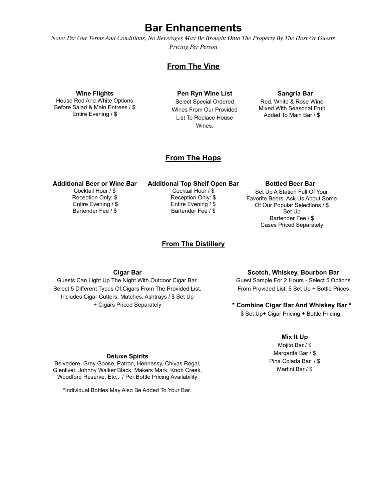### **Bar Enhancements**

Note: Per Our Terms And Conditions, No Beverages May Be Brought Onto The Property By The Host Or Guests *Pricing Per Person*

### **From The Vine**

**Wine Flights** House Red And White Options Before Salad & Main Entrees / \$ Entire Evening / \$

**Pen Ryn Wine List** Select Special Ordered Wines From Our Provided List To Replace House Wines.

#### **Sangria Bar**

Red, White & Rose Wine Mixed With Seasonal Fruit Added To Main Bar / \$

### **From The Hops**

#### **Additional Beer or Wine Bar**

Cocktail Hour / \$ Reception Only: \$ Entire Evening / \$ Bartender Fee / \$

### **Additional Top Shelf Open Bar**

Cocktail Hour / \$ Reception Only: \$ Entire Evening / \$ Bartender Fee / \$

#### **From The Distillery**

## **Bottled Beer Bar**

Set Up A Station Full Of Your Favorite Beers. Ask Us About Some Of Our Popular Selections / \$ Set Up Bartender Fee / \$ Cases Priced Separately

#### **Cigar Bar**

Guests Can Light Up The Night With Outdoor Cigar Bar. Select 5 Different Types Of Cigars From The Provided List. Includes Cigar Cutters, Matches, Ashtrays / \$ Set Up + Cigars Priced Separately

#### **Scotch, Whiskey, Bourbon Bar**

Guest Sample For 2 Hours - Select 5 Options From Provided List. \$ Set Up + Bottle Prices

**\* Combine Cigar Bar And Whiskey Bar \***

\$ Set Up+ Cigar Pricing + Bottle Pricing

#### **Mix It Up**

Mojito Bar / \$ Margarita Bar / \$ Pina Colada Bar / \$ Martini Bar / \$

#### **Deluxe Spirits**

Belvedere, Grey Goose, Patron, Hennessy, Chivas Regal, Glenlivet, Johnny Walker Black, Makers Mark, Knob Creek, Woodford Reserve, Etc.. / Per Bottle Pricing Availability

\*Individual Bottles May Also Be Added To Your Bar.